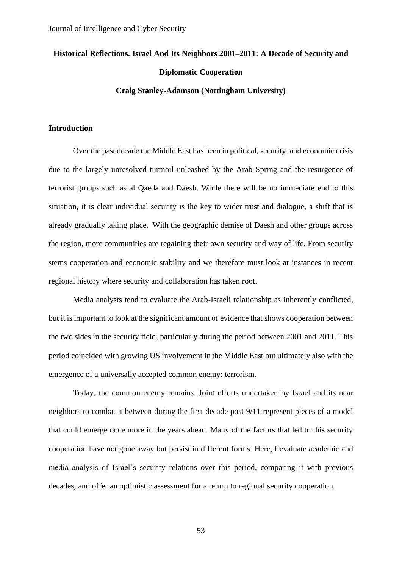# **Historical Reflections. Israel And Its Neighbors 2001–2011: A Decade of Security and Diplomatic Cooperation**

#### **Craig Stanley-Adamson (Nottingham University)**

#### **Introduction**

Over the past decade the Middle East has been in political, security, and economic crisis due to the largely unresolved turmoil unleashed by the Arab Spring and the resurgence of terrorist groups such as al Qaeda and Daesh. While there will be no immediate end to this situation, it is clear individual security is the key to wider trust and dialogue, a shift that is already gradually taking place. With the geographic demise of Daesh and other groups across the region, more communities are regaining their own security and way of life. From security stems cooperation and economic stability and we therefore must look at instances in recent regional history where security and collaboration has taken root.

Media analysts tend to evaluate the Arab-Israeli relationship as inherently conflicted, but it is important to look at the significant amount of evidence that shows cooperation between the two sides in the security field, particularly during the period between 2001 and 2011. This period coincided with growing US involvement in the Middle East but ultimately also with the emergence of a universally accepted common enemy: terrorism.

Today, the common enemy remains. Joint efforts undertaken by Israel and its near neighbors to combat it between during the first decade post 9/11 represent pieces of a model that could emerge once more in the years ahead. Many of the factors that led to this security cooperation have not gone away but persist in different forms. Here, I evaluate academic and media analysis of Israel's security relations over this period, comparing it with previous decades, and offer an optimistic assessment for a return to regional security cooperation.

53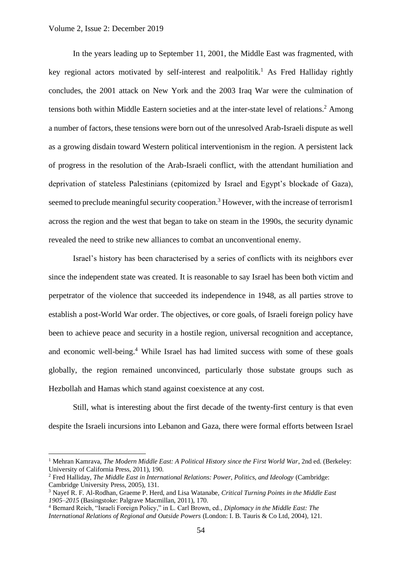#### Volume 2, Issue 2: December 2019

In the years leading up to September 11, 2001, the Middle East was fragmented, with key regional actors motivated by self-interest and realpolitik.<sup>1</sup> As Fred Halliday rightly concludes, the 2001 attack on New York and the 2003 Iraq War were the culmination of tensions both within Middle Eastern societies and at the inter-state level of relations.<sup>2</sup> Among a number of factors, these tensions were born out of the unresolved Arab-Israeli dispute as well as a growing disdain toward Western political interventionism in the region. A persistent lack of progress in the resolution of the Arab-Israeli conflict, with the attendant humiliation and deprivation of stateless Palestinians (epitomized by Israel and Egypt's blockade of Gaza), seemed to preclude meaningful security cooperation.<sup>3</sup> However, with the increase of terrorism1 across the region and the west that began to take on steam in the 1990s, the security dynamic revealed the need to strike new alliances to combat an unconventional enemy.

Israel's history has been characterised by a series of conflicts with its neighbors ever since the independent state was created. It is reasonable to say Israel has been both victim and perpetrator of the violence that succeeded its independence in 1948, as all parties strove to establish a post-World War order. The objectives, or core goals, of Israeli foreign policy have been to achieve peace and security in a hostile region, universal recognition and acceptance, and economic well-being.<sup>4</sup> While Israel has had limited success with some of these goals globally, the region remained unconvinced, particularly those substate groups such as Hezbollah and Hamas which stand against coexistence at any cost.

Still, what is interesting about the first decade of the twenty-first century is that even despite the Israeli incursions into Lebanon and Gaza, there were formal efforts between Israel

<sup>1</sup> Mehran Kamrava, *The Modern Middle East: A Political History since the First World War*, 2nd ed. (Berkeley: University of California Press, 2011), 190.

<sup>2</sup> Fred Halliday, *The Middle East in International Relations: Power, Politics, and Ideology* (Cambridge: Cambridge University Press, 2005), 131.

<sup>3</sup> Nayef R. F. Al-Rodhan, Graeme P. Herd, and Lisa Watanabe, *Critical Turning Points in the Middle East 1905–2015* (Basingstoke: Palgrave Macmillan, 2011), 170.

<sup>4</sup> Bernard Reich, "Israeli Foreign Policy," in L. Carl Brown, ed., *Diplomacy in the Middle East: The International Relations of Regional and Outside Powers* (London: I. B. Tauris & Co Ltd, 2004), 121.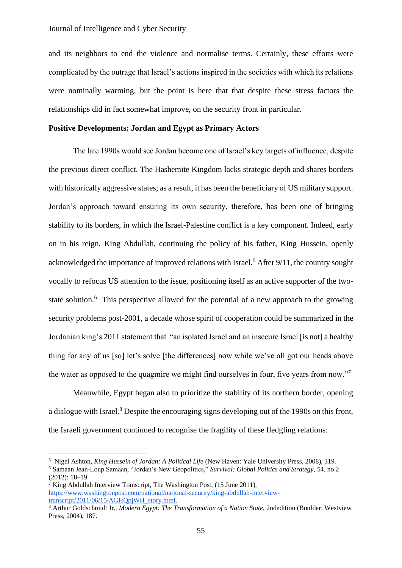## Journal of Intelligence and Cyber Security

and its neighbors to end the violence and normalise terms. Certainly, these efforts were complicated by the outrage that Israel's actions inspired in the societies with which its relations were nominally warming, but the point is here that that despite these stress factors the relationships did in fact somewhat improve, on the security front in particular.

#### **Positive Developments: Jordan and Egypt as Primary Actors**

The late 1990s would see Jordan become one of Israel's key targets of influence, despite the previous direct conflict. The Hashemite Kingdom lacks strategic depth and shares borders with historically aggressive states; as a result, it has been the beneficiary of US military support. Jordan's approach toward ensuring its own security, therefore, has been one of bringing stability to its borders, in which the Israel-Palestine conflict is a key component. Indeed, early on in his reign, King Abdullah, continuing the policy of his father, King Hussein, openly acknowledged the importance of improved relations with Israel.<sup>5</sup> After 9/11, the country sought vocally to refocus US attention to the issue, positioning itself as an active supporter of the twostate solution.<sup>6</sup> This perspective allowed for the potential of a new approach to the growing security problems post-2001, a decade whose spirit of cooperation could be summarized in the Jordanian king's 2011 statement that "an isolated Israel and an insecure Israel [is not] a healthy thing for any of us [so] let's solve [the differences] now while we've all got our heads above the water as opposed to the quagmire we might find ourselves in four, five years from now."<sup>7</sup>

Meanwhile, Egypt began also to prioritize the stability of its northern border, opening a dialogue with Israel.<sup>8</sup> Despite the encouraging signs developing out of the 1990s on this front, the Israeli government continued to recognise the fragility of these fledgling relations:

<sup>5</sup> Nigel Ashton, *King Hussein of Jordan: A Political Life* (New Haven: Yale University Press, 2008), 319. <sup>6</sup> Samaan Jean-Loup Samaan, "Jordan's New Geopolitics," *Survival: Global Politics and Strategy*, 54, no 2

<sup>(2012): 18–19.</sup>

<sup>7</sup> King Abdullah Interview Transcript, The Washington Post, (15 June 2011), [https://www.washingtonpost.com/national/national-security/king-abdullah-interview](https://www.washingtonpost.com/national/national-security/king-abdullah-interview-transcript/2011/06/15/AGHQpjWH_story.html)[transcript/2011/06/15/AGHQpjWH\\_story.html.](https://www.washingtonpost.com/national/national-security/king-abdullah-interview-transcript/2011/06/15/AGHQpjWH_story.html)

<sup>8</sup> Arthur Goldschmidt Jr., *Modern Egypt: The Transformation of a Nation State*, 2ndedition (Boulder: Westview Press, 2004), 187.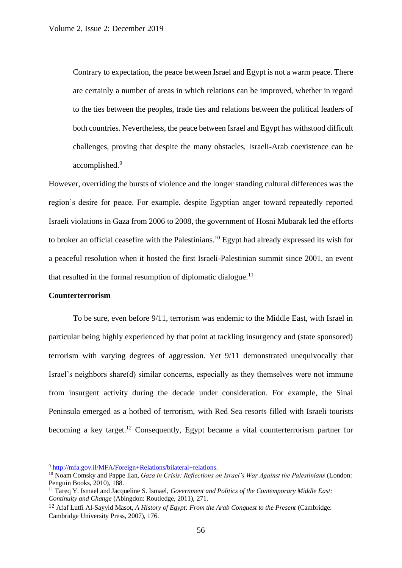Contrary to expectation, the peace between Israel and Egypt is not a warm peace. There are certainly a number of areas in which relations can be improved, whether in regard to the ties between the peoples, trade ties and relations between the political leaders of both countries. Nevertheless, the peace between Israel and Egypt has withstood difficult challenges, proving that despite the many obstacles, Israeli-Arab coexistence can be accomplished.<sup>9</sup>

However, overriding the bursts of violence and the longer standing cultural differences was the region's desire for peace. For example, despite Egyptian anger toward repeatedly reported Israeli violations in Gaza from 2006 to 2008, the government of Hosni Mubarak led the efforts to broker an official ceasefire with the Palestinians. <sup>10</sup> Egypt had already expressed its wish for a peaceful resolution when it hosted the first Israeli-Palestinian summit since 2001, an event that resulted in the formal resumption of diplomatic dialogue.<sup>11</sup>

#### **Counterterrorism**

To be sure, even before 9/11, terrorism was endemic to the Middle East, with Israel in particular being highly experienced by that point at tackling insurgency and (state sponsored) terrorism with varying degrees of aggression. Yet 9/11 demonstrated unequivocally that Israel's neighbors share(d) similar concerns, especially as they themselves were not immune from insurgent activity during the decade under consideration. For example, the Sinai Peninsula emerged as a hotbed of terrorism, with Red Sea resorts filled with Israeli tourists becoming a key target.<sup>12</sup> Consequently, Egypt became a vital counterterrorism partner for

<sup>9</sup> [http://mfa.gov.il/MFA/Foreign+Relations/bilateral+relations.](http://mfa.gov.il/MFA/Foreign+Relations/bilateral+relations)

<sup>10</sup> Noam Comsky and Pappe Ilan, *Gaza in Crisis: Reflections on Israel's War Against the Palestinians* (London: Penguin Books, 2010), 188.

<sup>&</sup>lt;sup>11</sup> Tarea Y. Ismael and Jacqueline S. Ismael, *Government and Politics of the Contemporary Middle East: Continuity and Change* (Abingdon: Routledge, 2011), 271.

<sup>&</sup>lt;sup>12</sup> Afaf Lutfi Al-Sayyid Masot, *A History of Egypt: From the Arab Conquest to the Present* (Cambridge: Cambridge University Press, 2007), 176.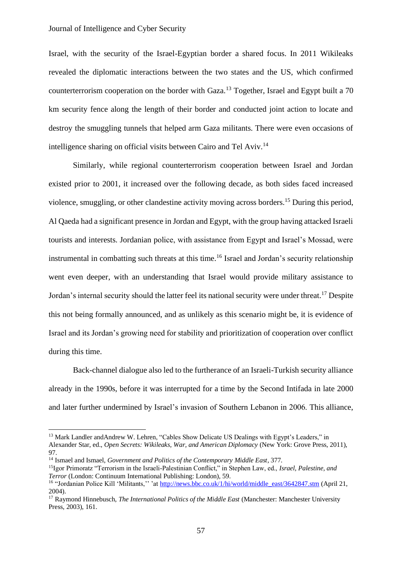## Journal of Intelligence and Cyber Security

Israel, with the security of the Israel-Egyptian border a shared focus. In 2011 Wikileaks revealed the diplomatic interactions between the two states and the US, which confirmed counterterrorism cooperation on the border with Gaza.<sup>13</sup> Together, Israel and Egypt built a 70 km security fence along the length of their border and conducted joint action to locate and destroy the smuggling tunnels that helped arm Gaza militants. There were even occasions of intelligence sharing on official visits between Cairo and Tel Aviv.<sup>14</sup>

Similarly, while regional counterterrorism cooperation between Israel and Jordan existed prior to 2001, it increased over the following decade, as both sides faced increased violence, smuggling, or other clandestine activity moving across borders.<sup>15</sup> During this period, Al Qaeda had a significant presence in Jordan and Egypt, with the group having attacked Israeli tourists and interests. Jordanian police, with assistance from Egypt and Israel's Mossad, were instrumental in combatting such threats at this time.<sup>16</sup> Israel and Jordan's security relationship went even deeper, with an understanding that Israel would provide military assistance to Jordan's internal security should the latter feel its national security were under threat.<sup>17</sup> Despite this not being formally announced, and as unlikely as this scenario might be, it is evidence of Israel and its Jordan's growing need for stability and prioritization of cooperation over conflict during this time.

Back-channel dialogue also led to the furtherance of an Israeli-Turkish security alliance already in the 1990s, before it was interrupted for a time by the Second Intifada in late 2000 and later further undermined by Israel's invasion of Southern Lebanon in 2006. This alliance,

<sup>&</sup>lt;sup>13</sup> Mark Landler andAndrew W. Lehren, "Cables Show Delicate US Dealings with Egypt's Leaders," in Alexander Star, ed., *Open Secrets: Wikileaks, War, and American Diplomacy* (New York: Grove Press, 2011), 97.

<sup>14</sup> Ismael and Ismael, *Government and Politics of the Contemporary Middle East*, 377.

<sup>15</sup>Igor Primoratz "Terrorism in the Israeli-Palestinian Conflict," in Stephen Law, ed., *Israel, Palestine, and Terror* (London: Continuum International Publishing: London), 59.

<sup>&</sup>lt;sup>16</sup> "Jordanian Police Kill 'Militants,'' 'a[t http://news.bbc.co.uk/1/hi/world/middle\\_east/3642847.stm](http://news.bbc.co.uk/1/hi/world/middle_east/3642847.stm) (April 21, 2004).

<sup>17</sup> Raymond Hinnebusch, *The International Politics of the Middle East* (Manchester: Manchester University Press, 2003), 161.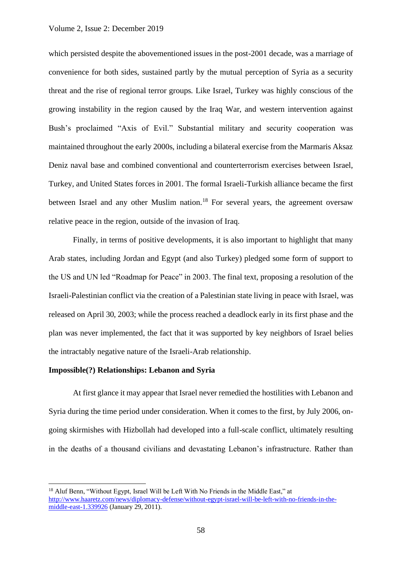## Volume 2, Issue 2: December 2019

which persisted despite the abovementioned issues in the post-2001 decade, was a marriage of convenience for both sides, sustained partly by the mutual perception of Syria as a security threat and the rise of regional terror groups. Like Israel, Turkey was highly conscious of the growing instability in the region caused by the Iraq War, and western intervention against Bush's proclaimed "Axis of Evil." Substantial military and security cooperation was maintained throughout the early 2000s, including a bilateral exercise from the Marmaris Aksaz Deniz naval base and combined conventional and counterterrorism exercises between Israel, Turkey, and United States forces in 2001. The formal Israeli-Turkish alliance became the first between Israel and any other Muslim nation.<sup>18</sup> For several years, the agreement oversaw relative peace in the region, outside of the invasion of Iraq.

Finally, in terms of positive developments, it is also important to highlight that many Arab states, including Jordan and Egypt (and also Turkey) pledged some form of support to the US and UN led "Roadmap for Peace" in 2003. The final text, proposing a resolution of the Israeli-Palestinian conflict via the creation of a Palestinian state living in peace with Israel, was released on April 30, 2003; while the process reached a deadlock early in its first phase and the plan was never implemented, the fact that it was supported by key neighbors of Israel belies the intractably negative nature of the Israeli-Arab relationship.

## **Impossible(?) Relationships: Lebanon and Syria**

At first glance it may appear that Israel never remedied the hostilities with Lebanon and Syria during the time period under consideration. When it comes to the first, by July 2006, ongoing skirmishes with Hizbollah had developed into a full-scale conflict, ultimately resulting in the deaths of a thousand civilians and devastating Lebanon's infrastructure. Rather than

<sup>&</sup>lt;sup>18</sup> Aluf Benn, "Without Egypt, Israel Will be Left With No Friends in the Middle East," at [http://www.haaretz.com/news/diplomacy-defense/without-egypt-israel-will-be-left-with-no-friends-in-the](http://www.haaretz.com/news/diplomacy-defense/without-egypt-israel-will-be-left-with-no-friends-in-the-middle-east-1.339926)[middle-east-1.339926](http://www.haaretz.com/news/diplomacy-defense/without-egypt-israel-will-be-left-with-no-friends-in-the-middle-east-1.339926) (January 29, 2011).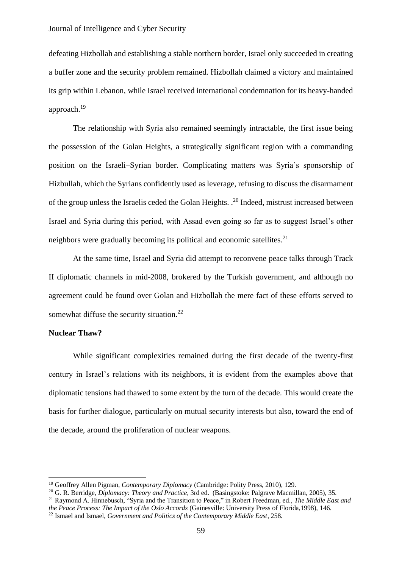defeating Hizbollah and establishing a stable northern border, Israel only succeeded in creating a buffer zone and the security problem remained. Hizbollah claimed a victory and maintained its grip within Lebanon, while Israel received international condemnation for its heavy-handed approach.<sup>19</sup>

The relationship with Syria also remained seemingly intractable, the first issue being the possession of the Golan Heights, a strategically significant region with a commanding position on the Israeli–Syrian border. Complicating matters was Syria's sponsorship of Hizbullah, which the Syrians confidently used as leverage, refusing to discuss the disarmament of the group unless the Israelis ceded the Golan Heights. .<sup>20</sup> Indeed, mistrust increased between Israel and Syria during this period, with Assad even going so far as to suggest Israel's other neighbors were gradually becoming its political and economic satellites.<sup>21</sup>

At the same time, Israel and Syria did attempt to reconvene peace talks through Track II diplomatic channels in mid-2008, brokered by the Turkish government, and although no agreement could be found over Golan and Hizbollah the mere fact of these efforts served to somewhat diffuse the security situation.<sup>22</sup>

## **Nuclear Thaw?**

While significant complexities remained during the first decade of the twenty-first century in Israel's relations with its neighbors, it is evident from the examples above that diplomatic tensions had thawed to some extent by the turn of the decade. This would create the basis for further dialogue, particularly on mutual security interests but also, toward the end of the decade, around the proliferation of nuclear weapons.

<sup>19</sup> Geoffrey Allen Pigman, *Contemporary Diplomacy* (Cambridge: Polity Press, 2010), 129.

<sup>20</sup> G. R. Berridge, *Diplomacy: Theory and Practice*, 3rd ed. (Basingstoke: Palgrave Macmillan, 2005), 35.

<sup>21</sup> Raymond A. Hinnebusch, "Syria and the Transition to Peace," in Robert Freedman, ed., *The Middle East and the Peace Process: The Impact of the Oslo Accords* (Gainesville: University Press of Florida,1998), 146.

<sup>22</sup> Ismael and Ismael, *Government and Politics of the Contemporary Middle East*, 258.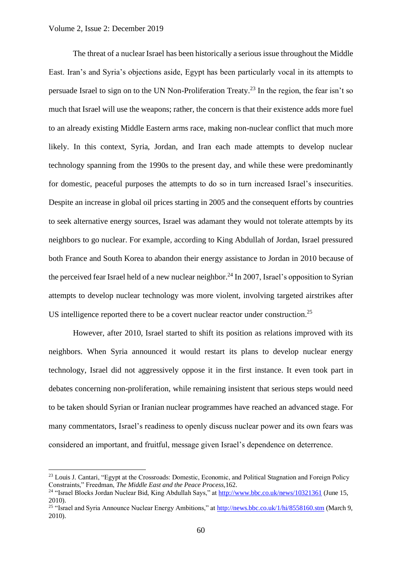## Volume 2, Issue 2: December 2019

The threat of a nuclear Israel has been historically a serious issue throughout the Middle East. Iran's and Syria's objections aside, Egypt has been particularly vocal in its attempts to persuade Israel to sign on to the UN Non-Proliferation Treaty.<sup>23</sup> In the region, the fear isn't so much that Israel will use the weapons; rather, the concern is that their existence adds more fuel to an already existing Middle Eastern arms race, making non-nuclear conflict that much more likely. In this context, Syria, Jordan, and Iran each made attempts to develop nuclear technology spanning from the 1990s to the present day, and while these were predominantly for domestic, peaceful purposes the attempts to do so in turn increased Israel's insecurities. Despite an increase in global oil prices starting in 2005 and the consequent efforts by countries to seek alternative energy sources, Israel was adamant they would not tolerate attempts by its neighbors to go nuclear. For example, according to King Abdullah of Jordan, Israel pressured both France and South Korea to abandon their energy assistance to Jordan in 2010 because of the perceived fear Israel held of a new nuclear neighbor.<sup>24</sup> In 2007, Israel's opposition to Syrian attempts to develop nuclear technology was more violent, involving targeted airstrikes after US intelligence reported there to be a covert nuclear reactor under construction.<sup>25</sup>

However, after 2010, Israel started to shift its position as relations improved with its neighbors. When Syria announced it would restart its plans to develop nuclear energy technology, Israel did not aggressively oppose it in the first instance. It even took part in debates concerning non-proliferation, while remaining insistent that serious steps would need to be taken should Syrian or Iranian nuclear programmes have reached an advanced stage. For many commentators, Israel's readiness to openly discuss nuclear power and its own fears was considered an important, and fruitful, message given Israel's dependence on deterrence.

<sup>&</sup>lt;sup>23</sup> Louis J. Cantari, "Egypt at the Crossroads: Domestic, Economic, and Political Stagnation and Foreign Policy Constraints," Freedman, *The Middle East and the Peace Process,*162.

<sup>&</sup>lt;sup>24</sup> "Israel Blocks Jordan Nuclear Bid, King Abdullah Says," a[t http://www.bbc.co.uk/news/10321361](http://www.bbc.co.uk/news/10321361) (June 15, 2010).

<sup>&</sup>lt;sup>25</sup> "Israel and Syria Announce Nuclear Energy Ambitions," at<http://news.bbc.co.uk/1/hi/8558160.stm> (March 9, 2010).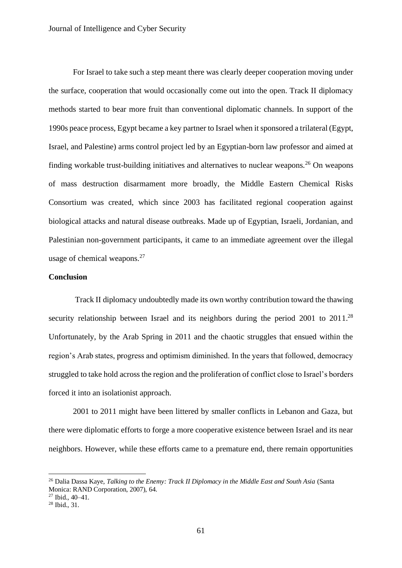For Israel to take such a step meant there was clearly deeper cooperation moving under the surface, cooperation that would occasionally come out into the open. Track II diplomacy methods started to bear more fruit than conventional diplomatic channels. In support of the 1990s peace process, Egypt became a key partner to Israel when it sponsored a trilateral (Egypt, Israel, and Palestine) arms control project led by an Egyptian-born law professor and aimed at finding workable trust-building initiatives and alternatives to nuclear weapons.<sup>26</sup> On weapons of mass destruction disarmament more broadly, the Middle Eastern Chemical Risks Consortium was created, which since 2003 has facilitated regional cooperation against biological attacks and natural disease outbreaks. Made up of Egyptian, Israeli, Jordanian, and Palestinian non-government participants, it came to an immediate agreement over the illegal usage of chemical weapons.<sup>27</sup>

## **Conclusion**

Track II diplomacy undoubtedly made its own worthy contribution toward the thawing security relationship between Israel and its neighbors during the period 2001 to 2011.<sup>28</sup> Unfortunately, by the Arab Spring in 2011 and the chaotic struggles that ensued within the region's Arab states, progress and optimism diminished. In the years that followed, democracy struggled to take hold across the region and the proliferation of conflict close to Israel's borders forced it into an isolationist approach.

2001 to 2011 might have been littered by smaller conflicts in Lebanon and Gaza, but there were diplomatic efforts to forge a more cooperative existence between Israel and its near neighbors. However, while these efforts came to a premature end, there remain opportunities

<sup>&</sup>lt;sup>26</sup> Dalia Dassa Kaye, *Talking to the Enemy: Track II Diplomacy in the Middle East and South Asia* (Santa Monica: RAND Corporation, 2007), 64.

<sup>27</sup> Ibid., 40–41.

<sup>28</sup> Ibid., 31.